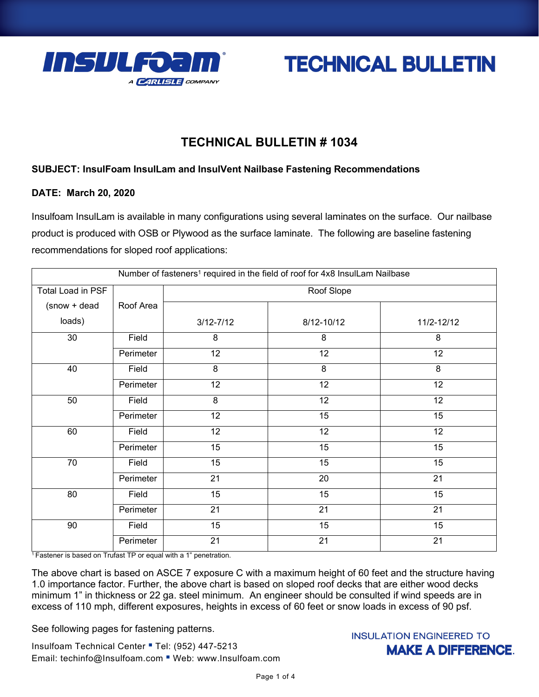



# **TECHNICAL BULLETIN # 1034**

#### **SUBJECT: InsulFoam InsulLam and InsulVent Nailbase Fastening Recommendations**

#### **DATE: March 20, 2020**

Insulfoam InsulLam is available in many configurations using several laminates on the surface. Our nailbase product is produced with OSB or Plywood as the surface laminate. The following are baseline fastening recommendations for sloped roof applications:

| Number of fasteners <sup>1</sup> required in the field of roof for 4x8 InsulLam Nailbase |           |                 |                 |            |
|------------------------------------------------------------------------------------------|-----------|-----------------|-----------------|------------|
| Total Load in PSF                                                                        |           | Roof Slope      |                 |            |
| (snow + dead                                                                             | Roof Area |                 |                 |            |
| loads)                                                                                   |           | $3/12 - 7/12$   | 8/12-10/12      | 11/2-12/12 |
| 30                                                                                       | Field     | 8               | 8               | 8          |
|                                                                                          | Perimeter | $\overline{12}$ | $\overline{12}$ | 12         |
| 40                                                                                       | Field     | 8               | 8               | 8          |
|                                                                                          | Perimeter | 12              | 12              | 12         |
| $\overline{50}$                                                                          | Field     | 8               | 12              | 12         |
|                                                                                          | Perimeter | 12              | 15              | 15         |
| 60                                                                                       | Field     | 12              | 12              | 12         |
|                                                                                          | Perimeter | 15              | 15              | 15         |
| 70                                                                                       | Field     | 15              | 15              | 15         |
|                                                                                          | Perimeter | 21              | 20              | 21         |
| 80                                                                                       | Field     | 15              | 15              | 15         |
|                                                                                          | Perimeter | 21              | 21              | 21         |
| 90                                                                                       | Field     | 15              | 15              | 15         |
|                                                                                          | Perimeter | 21              | 21              | 21         |

<sup>1</sup>Fastener is based on Trufast TP or equal with a 1" penetration.

The above chart is based on ASCE 7 exposure C with a maximum height of 60 feet and the structure having 1.0 importance factor. Further, the above chart is based on sloped roof decks that are either wood decks minimum 1" in thickness or 22 ga. steel minimum. An engineer should be consulted if wind speeds are in excess of 110 mph, different exposures, heights in excess of 60 feet or snow loads in excess of 90 psf.

See following pages for fastening patterns.

Insulfoam Technical Center " Tel: (952) 447-5213 Email: techinfo@Insulfoam.com Web: www.Insulfoam.com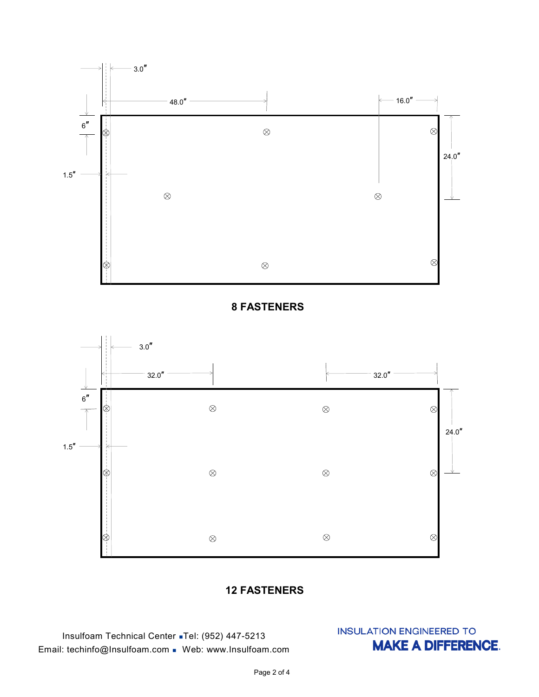





### **12 FASTENERS**

Insulfoam Technical Center ◼Tel: (952) 447-5213 Email: techinfo@Insulfoam.com ◼ Web: www.Insulfoam.com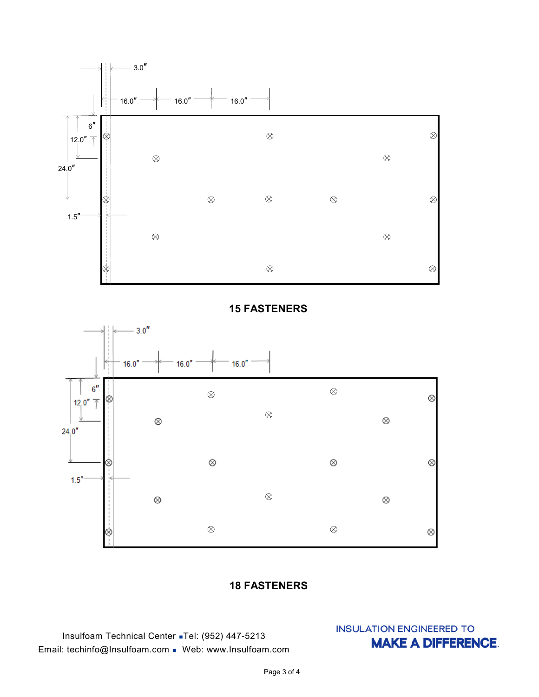

### **15 FASTENERS**



## **18 FASTENERS**

Insulfoam Technical Center ◼Tel: (952) 447-5213 Email: techinfo@Insulfoam.com ◼ Web: www.Insulfoam.com